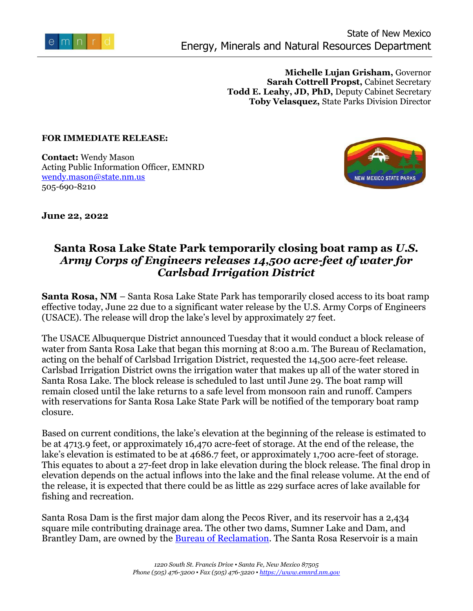

**Michelle Lujan Grisham,** Governor **Sarah Cottrell Propst,** Cabinet Secretary **Todd E. Leahy, JD, PhD,** Deputy Cabinet Secretary **Toby Velasquez,** State Parks Division Director

## **FOR IMMEDIATE RELEASE:**

**Contact:** Wendy Mason Acting Public Information Officer, EMNRD [wendy.mason@state.nm.us](mailto:wendy.mason@state.nm.us) 505-690-8210



**June 22, 2022** 

## **Santa Rosa Lake State Park temporarily closing boat ramp as** *U.S. Army Corps of Engineers releases 14,500 acre-feet of water for Carlsbad Irrigation District*

**Santa Rosa, NM** – Santa Rosa Lake State Park has temporarily closed access to its boat ramp effective today, June 22 due to a significant water release by the U.S. Army Corps of Engineers (USACE). The release will drop the lake's level by approximately 27 feet.

The USACE Albuquerque District announced Tuesday that it would conduct a block release of water from Santa Rosa Lake that began this morning at 8:00 a.m. The Bureau of Reclamation, acting on the behalf of Carlsbad Irrigation District, requested the 14,500 acre-feet release. Carlsbad Irrigation District owns the irrigation water that makes up all of the water stored in Santa Rosa Lake. The block release is scheduled to last until June 29. The boat ramp will remain closed until the lake returns to a safe level from monsoon rain and runoff. Campers with reservations for Santa Rosa Lake State Park will be notified of the temporary boat ramp closure.

Based on current conditions, the lake's elevation at the beginning of the release is estimated to be at 4713.9 feet, or approximately 16,470 acre-feet of storage. At the end of the release, the lake's elevation is estimated to be at 4686.7 feet, or approximately 1,700 acre-feet of storage. This equates to about a 27-feet drop in lake elevation during the block release. The final drop in elevation depends on the actual inflows into the lake and the final release volume. At the end of the release, it is expected that there could be as little as 229 surface acres of lake available for fishing and recreation.

Santa Rosa Dam is the first major dam along the Pecos River, and its reservoir has a 2,434 square mile contributing drainage area. The other two dams, Sumner Lake and Dam, and Brantley Dam, are owned by the **Bureau of Reclamation**. The Santa Rosa Reservoir is a main